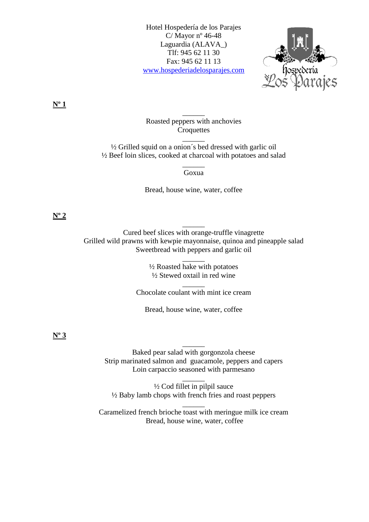Hotel Hospedería de los Parajes C/Mayor  $n^{\circ}$  46-48 Laguardia (ALAVA\_) Tlf: 945 62 11 30 Fax: 945 62 11 13 [www.hospederiadelosparajes.com](http://www.hospederiadelosparajes.com/)



**Nº 1**

Roasted peppers with anchovies **Croquettes** 

 $\overline{\phantom{a}}$ 

 $\overline{\phantom{a}}$ 

½ Grilled squid on a onion´s bed dressed with garlic oil ½ Beef loin slices, cooked at charcoal with potatoes and salad

> $\overline{\phantom{a}}$ Goxua

Bread, house wine, water, coffee

## **Nº 2**

Cured beef slices with orange-truffle vinagrette Grilled wild prawns with kewpie mayonnaise, quinoa and pineapple salad Sweetbread with peppers and garlic oil

 $\overline{\phantom{a}}$ 

½ Roasted hake with potatoes ½ Stewed oxtail in red wine

 $\overline{\phantom{a}}$ 

 $\overline{\phantom{a}}$ Chocolate coulant with mint ice cream

Bread, house wine, water, coffee

## **Nº 3**

Baked pear salad with gorgonzola cheese Strip marinated salmon and guacamole, peppers and capers Loin carpaccio seasoned with parmesano

 $\overline{\phantom{a}}$ 

½ Cod fillet in pilpil sauce ½ Baby lamb chops with french fries and roast peppers

 $\overline{\phantom{a}}$ 

Caramelized french brioche toast with meringue milk ice cream Bread, house wine, water, coffee

 $\overline{\phantom{a}}$